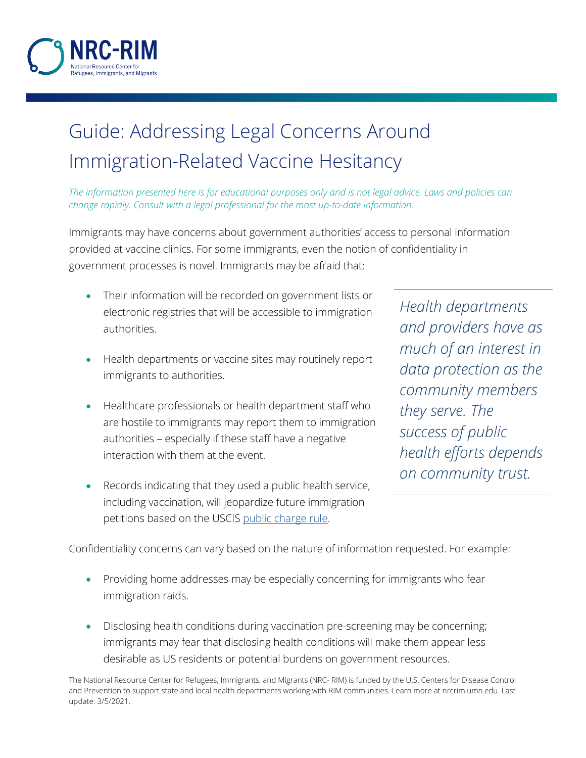

## Guide: Addressing Legal Concerns Around Immigration-Related Vaccine Hesitancy

*The information presented here is for educational purposes only and is not legal advice. Laws and policies can change rapidly. Consult with a legal professional for the most up-to-date information.*

Immigrants may have concerns about government authorities' access to personal information provided at vaccine clinics. For some immigrants, even the notion of confidentiality in government processes is novel. Immigrants may be afraid that:

- Their information will be recorded on government lists or electronic registries that will be accessible to immigration authorities.
- Health departments or vaccine sites may routinely report immigrants to authorities.
- Healthcare professionals or health department staff who are hostile to immigrants may report them to immigration authorities – especially if these staff have a negative interaction with them at the event.
- Records indicating that they used a public health service, including vaccination, will jeopardize future immigration petitions based on the USCIS [public charge rule.](https://www.uscis.gov/green-card/green-card-processes-and-procedures/public-charge)

*Health departments and providers have as much of an interest in data protection as the community members they serve. The success of public health efforts depends on community trust.*

Confidentiality concerns can vary based on the nature of information requested. For example:

- Providing home addresses may be especially concerning for immigrants who fear immigration raids.
- Disclosing health conditions during vaccination pre-screening may be concerning; immigrants may fear that disclosing health conditions will make them appear less desirable as US residents or potential burdens on government resources.

The National Resource Center for Refugees, Immigrants, and Migrants (NRC- RIM) is funded by the U.S. Centers for Disease Control and Prevention to support state and local health departments working with RIM communities. Learn more at nrcrim.umn.edu. Last update: 3/5/2021.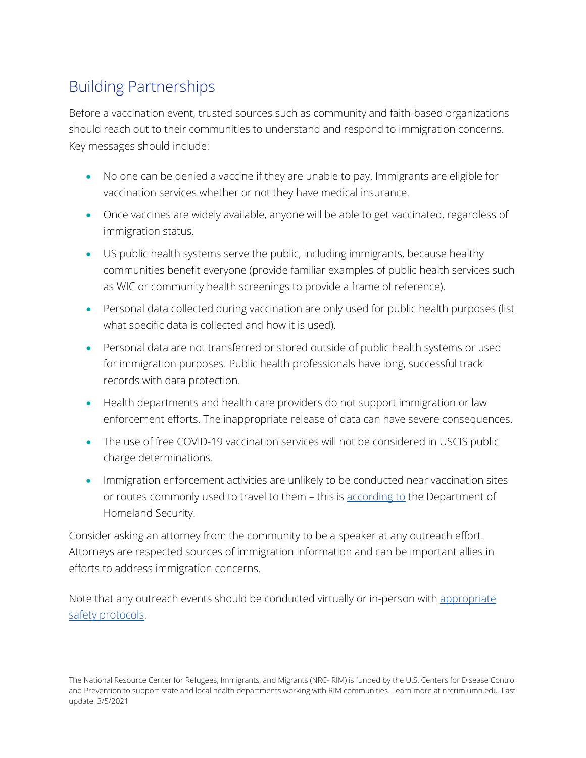## Building Partnerships

Before a vaccination event, trusted sources such as community and faith-based organizations should reach out to their communities to understand and respond to immigration concerns. Key messages should include:

- No one can be denied a vaccine if they are unable to pay. Immigrants are eligible for vaccination services whether or not they have medical insurance.
- Once vaccines are widely available, anyone will be able to get vaccinated, regardless of immigration status.
- US public health systems serve the public, including immigrants, because healthy communities benefit everyone (provide familiar examples of public health services such as WIC or community health screenings to provide a frame of reference).
- Personal data collected during vaccination are only used for public health purposes (list what specific data is collected and how it is used).
- Personal data are not transferred or stored outside of public health systems or used for immigration purposes. Public health professionals have long, successful track records with data protection.
- Health departments and health care providers do not support immigration or law enforcement efforts. The inappropriate release of data can have severe consequences.
- The use of free COVID-19 vaccination services will not be considered in USCIS public charge determinations.
- Immigration enforcement activities are unlikely to be conducted near vaccination sites or routes commonly used to travel to them – this is [according to](https://www.usnews.com/news/national-news/articles/2021-02-01/ice-wont-make-immigration-arrests-at-coronavirus-vaccination-sites-dhs-says) the Department of Homeland Security.

Consider asking an attorney from the community to be a speaker at any outreach effort. Attorneys are respected sources of immigration information and can be important allies in efforts to address immigration concerns.

Note that any outreach events should be conducted virtually or in-person with [appropriate](https://z.umn.edu/6jfp)  [safety protocols.](https://z.umn.edu/6jfp)

The National Resource Center for Refugees, Immigrants, and Migrants (NRC- RIM) is funded by the U.S. Centers for Disease Control and Prevention to support state and local health departments working with RIM communities. Learn more at nrcrim.umn.edu. Last update: 3/5/2021